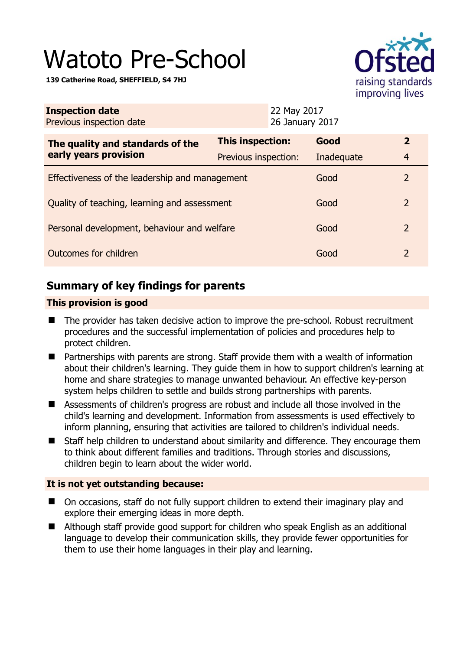# Watoto Pre-School

**139 Catherine Road, SHEFFIELD, S4 7HJ** 



| <b>Inspection date</b><br>Previous inspection date | 22 May 2017<br>26 January 2017 |  |            |                |
|----------------------------------------------------|--------------------------------|--|------------|----------------|
| The quality and standards of the                   | This inspection:               |  | Good       | $\overline{2}$ |
| early years provision                              | Previous inspection:           |  | Inadequate | $\overline{4}$ |
| Effectiveness of the leadership and management     |                                |  | Good       | $\mathcal{L}$  |
| Quality of teaching, learning and assessment       |                                |  | Good       | $\overline{2}$ |
| Personal development, behaviour and welfare        |                                |  | Good       | 2              |
| Outcomes for children                              |                                |  | Good       | 2              |

# **Summary of key findings for parents**

## **This provision is good**

- The provider has taken decisive action to improve the pre-school. Robust recruitment procedures and the successful implementation of policies and procedures help to protect children.
- Partnerships with parents are strong. Staff provide them with a wealth of information about their children's learning. They guide them in how to support children's learning at home and share strategies to manage unwanted behaviour. An effective key-person system helps children to settle and builds strong partnerships with parents.
- Assessments of children's progress are robust and include all those involved in the child's learning and development. Information from assessments is used effectively to inform planning, ensuring that activities are tailored to children's individual needs.
- Staff help children to understand about similarity and difference. They encourage them to think about different families and traditions. Through stories and discussions, children begin to learn about the wider world.

## **It is not yet outstanding because:**

- On occasions, staff do not fully support children to extend their imaginary play and explore their emerging ideas in more depth.
- Although staff provide good support for children who speak English as an additional language to develop their communication skills, they provide fewer opportunities for them to use their home languages in their play and learning.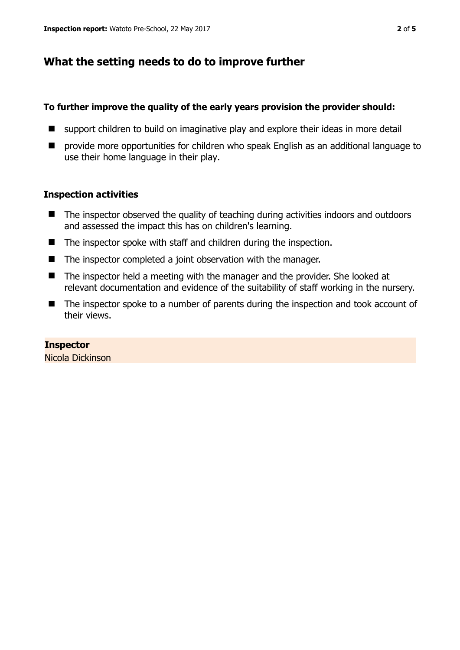# **What the setting needs to do to improve further**

#### **To further improve the quality of the early years provision the provider should:**

- support children to build on imaginative play and explore their ideas in more detail
- **P** provide more opportunities for children who speak English as an additional language to use their home language in their play.

#### **Inspection activities**

- The inspector observed the quality of teaching during activities indoors and outdoors and assessed the impact this has on children's learning.
- The inspector spoke with staff and children during the inspection.
- The inspector completed a joint observation with the manager.
- The inspector held a meeting with the manager and the provider. She looked at relevant documentation and evidence of the suitability of staff working in the nursery.
- The inspector spoke to a number of parents during the inspection and took account of their views.

## **Inspector**

Nicola Dickinson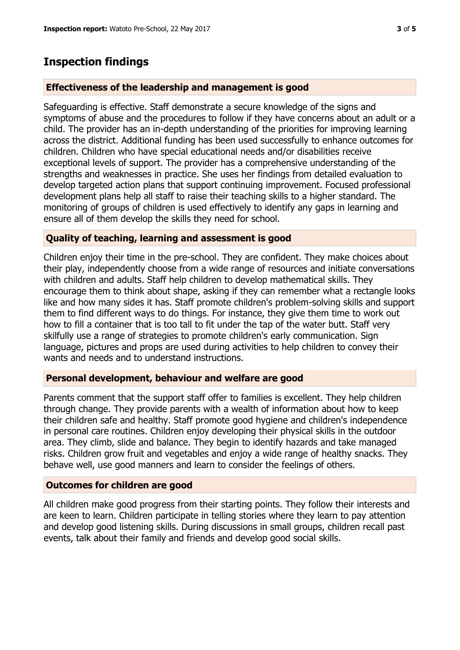## **Inspection findings**

#### **Effectiveness of the leadership and management is good**

Safeguarding is effective. Staff demonstrate a secure knowledge of the signs and symptoms of abuse and the procedures to follow if they have concerns about an adult or a child. The provider has an in-depth understanding of the priorities for improving learning across the district. Additional funding has been used successfully to enhance outcomes for children. Children who have special educational needs and/or disabilities receive exceptional levels of support. The provider has a comprehensive understanding of the strengths and weaknesses in practice. She uses her findings from detailed evaluation to develop targeted action plans that support continuing improvement. Focused professional development plans help all staff to raise their teaching skills to a higher standard. The monitoring of groups of children is used effectively to identify any gaps in learning and ensure all of them develop the skills they need for school.

#### **Quality of teaching, learning and assessment is good**

Children enjoy their time in the pre-school. They are confident. They make choices about their play, independently choose from a wide range of resources and initiate conversations with children and adults. Staff help children to develop mathematical skills. They encourage them to think about shape, asking if they can remember what a rectangle looks like and how many sides it has. Staff promote children's problem-solving skills and support them to find different ways to do things. For instance, they give them time to work out how to fill a container that is too tall to fit under the tap of the water butt. Staff very skilfully use a range of strategies to promote children's early communication. Sign language, pictures and props are used during activities to help children to convey their wants and needs and to understand instructions.

#### **Personal development, behaviour and welfare are good**

Parents comment that the support staff offer to families is excellent. They help children through change. They provide parents with a wealth of information about how to keep their children safe and healthy. Staff promote good hygiene and children's independence in personal care routines. Children enjoy developing their physical skills in the outdoor area. They climb, slide and balance. They begin to identify hazards and take managed risks. Children grow fruit and vegetables and enjoy a wide range of healthy snacks. They behave well, use good manners and learn to consider the feelings of others.

#### **Outcomes for children are good**

All children make good progress from their starting points. They follow their interests and are keen to learn. Children participate in telling stories where they learn to pay attention and develop good listening skills. During discussions in small groups, children recall past events, talk about their family and friends and develop good social skills.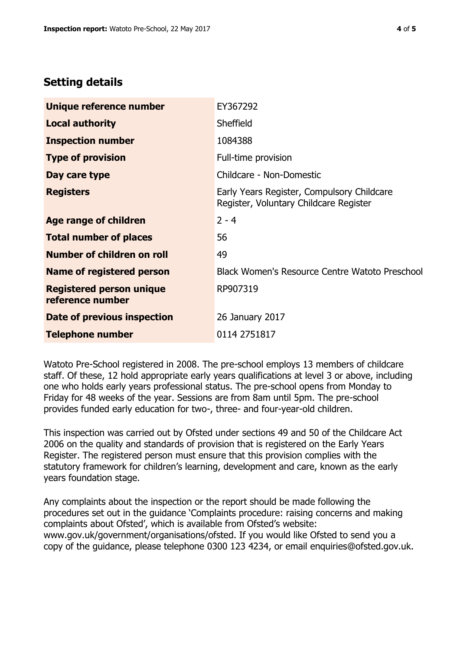# **Setting details**

| Unique reference number                             | EY367292                                                                             |  |
|-----------------------------------------------------|--------------------------------------------------------------------------------------|--|
| <b>Local authority</b>                              | Sheffield                                                                            |  |
| <b>Inspection number</b>                            | 1084388                                                                              |  |
| <b>Type of provision</b>                            | Full-time provision                                                                  |  |
| Day care type                                       | Childcare - Non-Domestic                                                             |  |
| <b>Registers</b>                                    | Early Years Register, Compulsory Childcare<br>Register, Voluntary Childcare Register |  |
| Age range of children                               | $2 - 4$                                                                              |  |
| <b>Total number of places</b>                       | 56                                                                                   |  |
| Number of children on roll                          | 49                                                                                   |  |
| Name of registered person                           | <b>Black Women's Resource Centre Watoto Preschool</b>                                |  |
| <b>Registered person unique</b><br>reference number | RP907319                                                                             |  |
| Date of previous inspection                         | 26 January 2017                                                                      |  |
| <b>Telephone number</b>                             | 0114 2751817                                                                         |  |

Watoto Pre-School registered in 2008. The pre-school employs 13 members of childcare staff. Of these, 12 hold appropriate early years qualifications at level 3 or above, including one who holds early years professional status. The pre-school opens from Monday to Friday for 48 weeks of the year. Sessions are from 8am until 5pm. The pre-school provides funded early education for two-, three- and four-year-old children.

This inspection was carried out by Ofsted under sections 49 and 50 of the Childcare Act 2006 on the quality and standards of provision that is registered on the Early Years Register. The registered person must ensure that this provision complies with the statutory framework for children's learning, development and care, known as the early years foundation stage.

Any complaints about the inspection or the report should be made following the procedures set out in the guidance 'Complaints procedure: raising concerns and making complaints about Ofsted', which is available from Ofsted's website: www.gov.uk/government/organisations/ofsted. If you would like Ofsted to send you a copy of the guidance, please telephone 0300 123 4234, or email enquiries@ofsted.gov.uk.